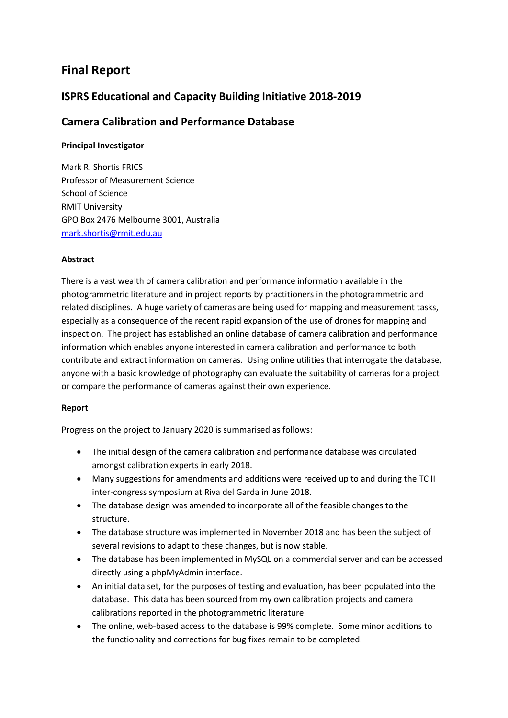# **Final Report**

# **ISPRS Educational and Capacity Building Initiative 2018-2019**

# **Camera Calibration and Performance Database**

# **Principal Investigator**

Mark R. Shortis FRICS Professor of Measurement Science School of Science RMIT University GPO Box 2476 Melbourne 3001, Australia [mark.shortis@rmit.edu.au](mailto:mark.shortis@rmit.edu.au)

## **Abstract**

There is a vast wealth of camera calibration and performance information available in the photogrammetric literature and in project reports by practitioners in the photogrammetric and related disciplines. A huge variety of cameras are being used for mapping and measurement tasks, especially as a consequence of the recent rapid expansion of the use of drones for mapping and inspection. The project has established an online database of camera calibration and performance information which enables anyone interested in camera calibration and performance to both contribute and extract information on cameras. Using online utilities that interrogate the database, anyone with a basic knowledge of photography can evaluate the suitability of cameras for a project or compare the performance of cameras against their own experience.

## **Report**

Progress on the project to January 2020 is summarised as follows:

- The initial design of the camera calibration and performance database was circulated amongst calibration experts in early 2018.
- Many suggestions for amendments and additions were received up to and during the TC II inter-congress symposium at Riva del Garda in June 2018.
- The database design was amended to incorporate all of the feasible changes to the structure.
- The database structure was implemented in November 2018 and has been the subject of several revisions to adapt to these changes, but is now stable.
- The database has been implemented in MySQL on a commercial server and can be accessed directly using a phpMyAdmin interface.
- An initial data set, for the purposes of testing and evaluation, has been populated into the database. This data has been sourced from my own calibration projects and camera calibrations reported in the photogrammetric literature.
- The online, web-based access to the database is 99% complete. Some minor additions to the functionality and corrections for bug fixes remain to be completed.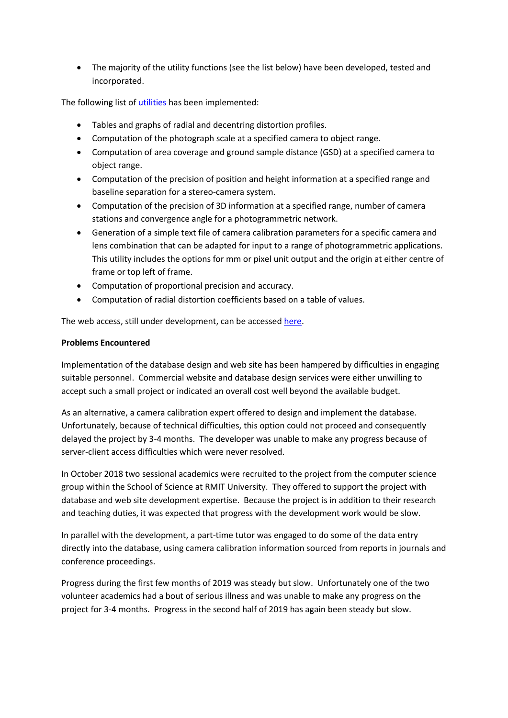• The majority of the utility functions (see the list below) have been developed, tested and incorporated.

The following list of [utilities](http://www.cameracalibration.org/) has been implemented:

- Tables and graphs of radial and decentring distortion profiles.
- Computation of the photograph scale at a specified camera to object range.
- Computation of area coverage and ground sample distance (GSD) at a specified camera to object range.
- Computation of the precision of position and height information at a specified range and baseline separation for a stereo-camera system.
- Computation of the precision of 3D information at a specified range, number of camera stations and convergence angle for a photogrammetric network.
- Generation of a simple text file of camera calibration parameters for a specific camera and lens combination that can be adapted for input to a range of photogrammetric applications. This utility includes the options for mm or pixel unit output and the origin at either centre of frame or top left of frame.
- Computation of proportional precision and accuracy.
- Computation of radial distortion coefficients based on a table of values.

The web access, still under development, can be accessed [here.](http://www.cameracalibration.org/dev/search.php)

### **Problems Encountered**

Implementation of the database design and web site has been hampered by difficulties in engaging suitable personnel. Commercial website and database design services were either unwilling to accept such a small project or indicated an overall cost well beyond the available budget.

As an alternative, a camera calibration expert offered to design and implement the database. Unfortunately, because of technical difficulties, this option could not proceed and consequently delayed the project by 3-4 months. The developer was unable to make any progress because of server-client access difficulties which were never resolved.

In October 2018 two sessional academics were recruited to the project from the computer science group within the School of Science at RMIT University. They offered to support the project with database and web site development expertise. Because the project is in addition to their research and teaching duties, it was expected that progress with the development work would be slow.

In parallel with the development, a part-time tutor was engaged to do some of the data entry directly into the database, using camera calibration information sourced from reports in journals and conference proceedings.

Progress during the first few months of 2019 was steady but slow. Unfortunately one of the two volunteer academics had a bout of serious illness and was unable to make any progress on the project for 3-4 months. Progress in the second half of 2019 has again been steady but slow.